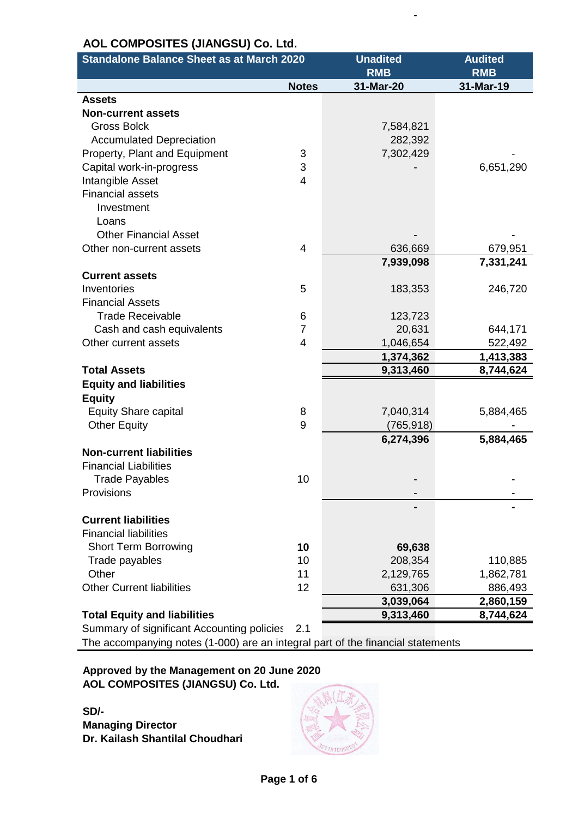| <b>Standalone Balance Sheet as at March 2020</b> |                | <b>Unadited</b> | <b>Audited</b> |
|--------------------------------------------------|----------------|-----------------|----------------|
|                                                  |                | <b>RMB</b>      | <b>RMB</b>     |
|                                                  | <b>Notes</b>   | 31-Mar-20       | 31-Mar-19      |
| <b>Assets</b>                                    |                |                 |                |
| <b>Non-current assets</b>                        |                |                 |                |
| <b>Gross Bolck</b>                               |                | 7,584,821       |                |
| <b>Accumulated Depreciation</b>                  |                | 282,392         |                |
| Property, Plant and Equipment                    | 3              | 7,302,429       |                |
| Capital work-in-progress                         | 3              |                 | 6,651,290      |
| Intangible Asset                                 | 4              |                 |                |
| <b>Financial assets</b>                          |                |                 |                |
| Investment                                       |                |                 |                |
| Loans                                            |                |                 |                |
| <b>Other Financial Asset</b>                     |                |                 |                |
| Other non-current assets                         | 4              | 636,669         | 679,951        |
|                                                  |                | 7,939,098       | 7,331,241      |
| <b>Current assets</b>                            |                |                 |                |
| Inventories                                      | 5              | 183,353         | 246,720        |
| <b>Financial Assets</b>                          |                |                 |                |
| <b>Trade Receivable</b>                          | 6              | 123,723         |                |
| Cash and cash equivalents                        | $\overline{7}$ | 20,631          | 644,171        |
| Other current assets                             | 4              | 1,046,654       | 522,492        |
|                                                  |                | 1,374,362       | 1,413,383      |
| <b>Total Assets</b>                              |                | 9,313,460       | 8,744,624      |
| <b>Equity and liabilities</b>                    |                |                 |                |
| <b>Equity</b>                                    |                |                 |                |
| <b>Equity Share capital</b>                      | 8              | 7,040,314       | 5,884,465      |
| <b>Other Equity</b>                              | 9              | (765, 918)      |                |
|                                                  |                | 6,274,396       | 5,884,465      |
| <b>Non-current liabilities</b>                   |                |                 |                |
| <b>Financial Liabilities</b>                     |                |                 |                |
| Trade Payables                                   | 10             |                 |                |
| Provisions                                       |                |                 |                |
|                                                  |                |                 |                |
| <b>Current liabilities</b>                       |                |                 |                |
| <b>Financial liabilities</b>                     |                |                 |                |
| <b>Short Term Borrowing</b>                      | 10             | 69,638          |                |
| Trade payables                                   | 10             | 208,354         | 110,885        |
| Other                                            | 11             | 2,129,765       | 1,862,781      |
| <b>Other Current liabilities</b>                 | 12             | 631,306         | 886,493        |
|                                                  |                | 3,039,064       | 2,860,159      |
| <b>Total Equity and liabilities</b>              |                | 9,313,460       | 8,744,624      |

- 1990 - 1990 - 1990 - 1990 - 1990 - 1990 - 1990 - 1990 - 1990 - 1990 - 1990 - 1990 - 1990 - 1990 - 1990 - 19

Summary of significant Accounting policies 2.1

The accompanying notes (1-000) are an integral part of the financial statements

### **Approved by the Management on 20 June 2020 AOL COMPOSITES (JIANGSU) Co. Ltd.**

**SD/- Managing Director Dr. Kailash Shantilal Choudhari**

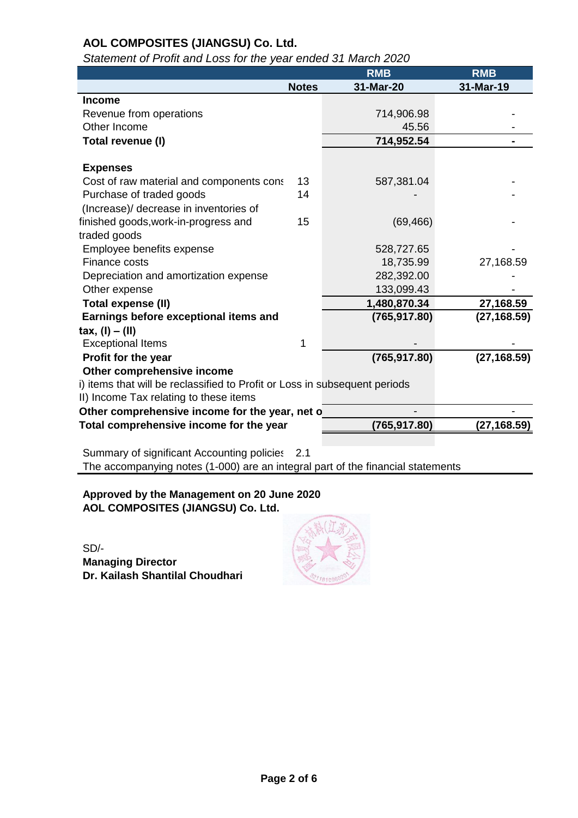| $\alpha$ and $\alpha$ is the and $\alpha$ is the first state of match $\alpha$ . |              |               |              |
|----------------------------------------------------------------------------------|--------------|---------------|--------------|
|                                                                                  |              | <b>RMB</b>    | <b>RMB</b>   |
|                                                                                  | <b>Notes</b> | 31-Mar-20     | 31-Mar-19    |
| <b>Income</b>                                                                    |              |               |              |
| Revenue from operations                                                          |              | 714,906.98    |              |
| Other Income                                                                     |              | 45.56         |              |
| Total revenue (I)                                                                |              | 714,952.54    |              |
|                                                                                  |              |               |              |
| <b>Expenses</b>                                                                  |              |               |              |
| Cost of raw material and components cons                                         | 13           | 587,381.04    |              |
| Purchase of traded goods                                                         | 14           |               |              |
| (Increase)/ decrease in inventories of                                           |              |               |              |
| finished goods, work-in-progress and                                             | 15           | (69, 466)     |              |
| traded goods                                                                     |              |               |              |
| Employee benefits expense                                                        |              | 528,727.65    |              |
| Finance costs                                                                    |              | 18,735.99     | 27,168.59    |
| Depreciation and amortization expense                                            |              | 282,392.00    |              |
| Other expense                                                                    |              | 133,099.43    |              |
| <b>Total expense (II)</b>                                                        |              | 1,480,870.34  | 27,168.59    |
| Earnings before exceptional items and                                            |              | (765, 917.80) | (27, 168.59) |
| $tax, (I) - (II)$                                                                |              |               |              |
| <b>Exceptional Items</b>                                                         | 1            |               |              |
| Profit for the year                                                              |              | (765, 917.80) | (27, 168.59) |
| Other comprehensive income                                                       |              |               |              |
| i) items that will be reclassified to Profit or Loss in subsequent periods       |              |               |              |
| II) Income Tax relating to these items                                           |              |               |              |
| Other comprehensive income for the year, net o                                   |              |               |              |
| Total comprehensive income for the year                                          |              | (765, 917.80) | (27, 168.59) |
|                                                                                  |              |               |              |

*Statement of Profit and Loss for the year ended 31 March 2020*

Summary of significant Accounting policies 2.1 The accompanying notes (1-000) are an integral part of the financial statements

**Approved by the Management on 20 June 2020 AOL COMPOSITES (JIANGSU) Co. Ltd.**

SD/- **Managing Director Dr. Kailash Shantilal Choudhari**

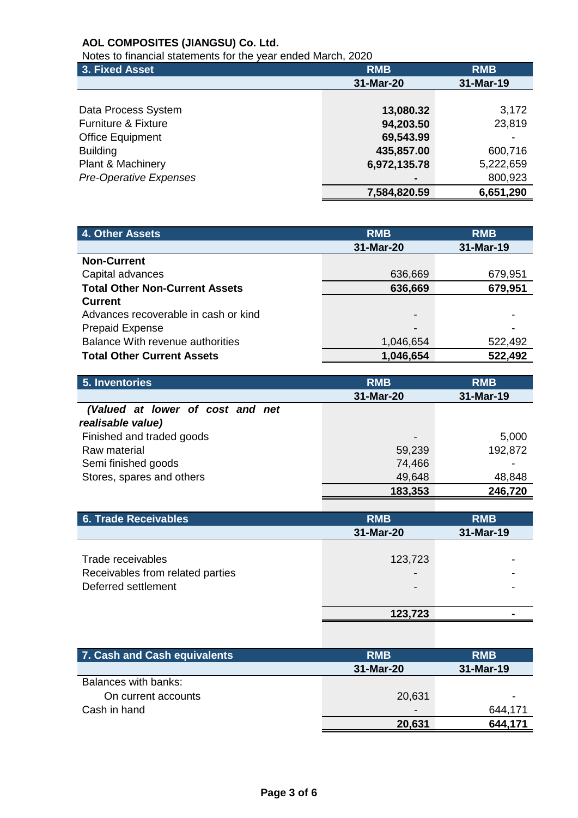Notes to financial statements for the year ended March, 2020

| 3. Fixed Asset                 | <b>RMB</b>   | <b>RMB</b> |
|--------------------------------|--------------|------------|
|                                | 31-Mar-20    | 31-Mar-19  |
|                                |              |            |
| Data Process System            | 13,080.32    | 3,172      |
| <b>Furniture &amp; Fixture</b> | 94,203.50    | 23,819     |
| <b>Office Equipment</b>        | 69,543.99    |            |
| <b>Building</b>                | 435,857.00   | 600,716    |
| Plant & Machinery              | 6,972,135.78 | 5,222,659  |
| <b>Pre-Operative Expenses</b>  |              | 800,923    |
|                                | 7,584,820.59 | 6,651,290  |

| 4. Other Assets                         | <b>RMB</b>               | <b>RMB</b> |
|-----------------------------------------|--------------------------|------------|
|                                         | 31-Mar-20                | 31-Mar-19  |
| <b>Non-Current</b>                      |                          |            |
| Capital advances                        | 636,669                  | 679,951    |
| <b>Total Other Non-Current Assets</b>   | 636,669                  | 679,951    |
| <b>Current</b>                          |                          |            |
| Advances recoverable in cash or kind    | $\overline{\phantom{a}}$ |            |
| <b>Prepaid Expense</b>                  | -                        |            |
| <b>Balance With revenue authorities</b> | 1,046,654                | 522,492    |
| <b>Total Other Current Assets</b>       | 1,046,654                | 522,492    |

| 5. Inventories                   | <b>RMB</b>      | <b>RMB</b> |
|----------------------------------|-----------------|------------|
|                                  | 31-Mar-20       | 31-Mar-19  |
| (Valued at lower of cost and net |                 |            |
| realisable value)                |                 |            |
| Finished and traded goods        | $\qquad \qquad$ | 5,000      |
| Raw material                     | 59,239          | 192,872    |
| Semi finished goods              | 74,466          |            |
| Stores, spares and others        | 49,648          | 48,848     |
|                                  | 183,353         | 246,720    |

| <b>6. Trade Receivables</b>                                                  | <b>RMB</b><br>31-Mar-20             | <b>RMB</b><br>31-Mar-19 |
|------------------------------------------------------------------------------|-------------------------------------|-------------------------|
| Trade receivables<br>Receivables from related parties<br>Deferred settlement | 123,723<br>$\overline{\phantom{0}}$ |                         |
|                                                                              | 123,723                             |                         |

| 7. Cash and Cash equivalents | <b>RMB</b>               | <b>RMB</b> |
|------------------------------|--------------------------|------------|
|                              | 31-Mar-20                | 31-Mar-19  |
| Balances with banks:         |                          |            |
| On current accounts          | 20,631                   | -          |
| Cash in hand                 | $\overline{\phantom{0}}$ | 644,171    |
|                              | 20,631                   | 644,171    |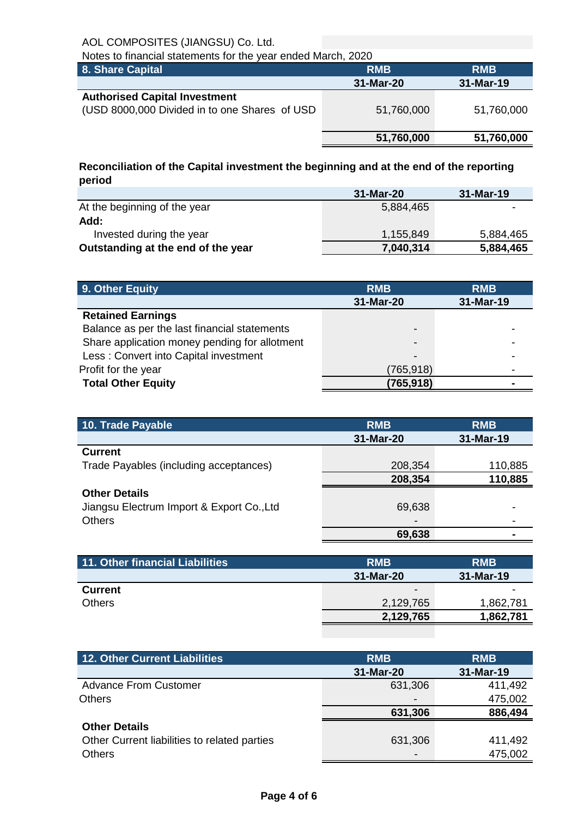| Notes to financial statements for the year ended March, 2020                          |            |            |  |
|---------------------------------------------------------------------------------------|------------|------------|--|
| 8. Share Capital                                                                      | <b>RMB</b> | <b>RMB</b> |  |
|                                                                                       | 31-Mar-20  | 31-Mar-19  |  |
| <b>Authorised Capital Investment</b><br>(USD 8000,000 Divided in to one Shares of USD | 51,760,000 | 51,760,000 |  |
|                                                                                       | 51,760,000 | 51,760,000 |  |

**Reconciliation of the Capital investment the beginning and at the end of the reporting period**

|                                    | 31-Mar-20 | 31-Mar-19                |
|------------------------------------|-----------|--------------------------|
| At the beginning of the year       | 5,884,465 | $\overline{\phantom{0}}$ |
| Add:                               |           |                          |
| Invested during the year           | 1,155,849 | 5,884,465                |
| Outstanding at the end of the year | 7,040,314 | 5,884,465                |

| 9. Other Equity                               | <b>RMB</b> | <b>RMB</b> |
|-----------------------------------------------|------------|------------|
|                                               | 31-Mar-20  | 31-Mar-19  |
| <b>Retained Earnings</b>                      |            |            |
| Balance as per the last financial statements  | -          |            |
| Share application money pending for allotment | -          |            |
| Less: Convert into Capital investment         | -          |            |
| Profit for the year                           | (765,918)  |            |
| <b>Total Other Equity</b>                     | (765, 918) |            |

| <b>RMB</b> | <b>RMB</b> |
|------------|------------|
| 31-Mar-20  | 31-Mar-19  |
|            |            |
| 208,354    | 110,885    |
| 208,354    | 110,885    |
|            |            |
| 69,638     |            |
|            |            |
| 69,638     |            |
|            |            |

| 11. Other financial Liabilities | <b>RMB</b>      | <b>RMB</b> |
|---------------------------------|-----------------|------------|
|                                 | 31-Mar-20       | 31-Mar-19  |
| <b>Current</b>                  | $\qquad \qquad$ | -          |
| <b>Others</b>                   | 2,129,765       | 1,862,781  |
|                                 | 2,129,765       | 1,862,781  |

| 12. Other Current Liabilities                | <b>RMB</b>      | <b>RMB</b> |
|----------------------------------------------|-----------------|------------|
|                                              | 31-Mar-20       | 31-Mar-19  |
| <b>Advance From Customer</b>                 | 631,306         | 411,492    |
| <b>Others</b>                                |                 | 475,002    |
|                                              | 631,306         | 886,494    |
| <b>Other Details</b>                         |                 |            |
| Other Current liabilities to related parties | 631,306         | 411,492    |
| <b>Others</b>                                | $\qquad \qquad$ | 475,002    |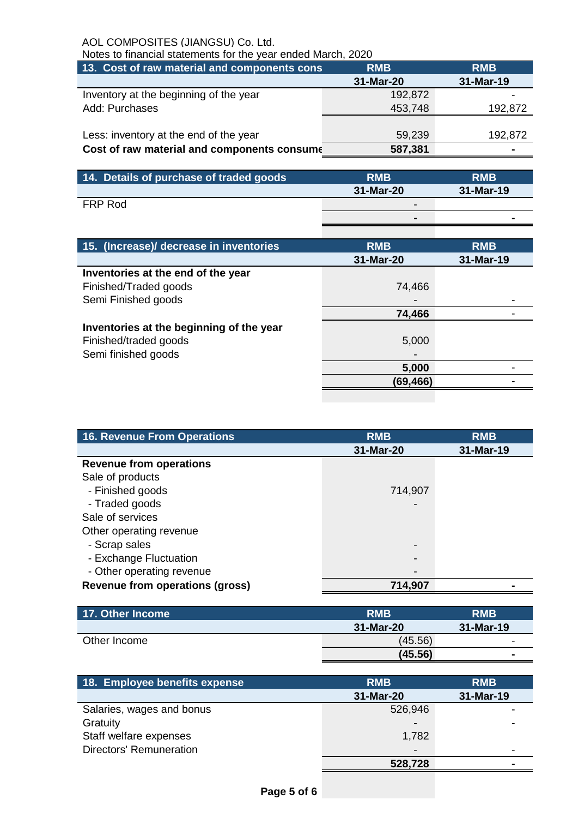Notes to financial statements for the year ended March, 2020

| 13. Cost of raw material and components cons<br><b>RMB</b> | <b>RMB</b>                                  |
|------------------------------------------------------------|---------------------------------------------|
| 31-Mar-20                                                  | 31-Mar-19                                   |
| 192,872                                                    |                                             |
| 453,748                                                    | 192,872                                     |
|                                                            |                                             |
| 59,239                                                     | 192,872                                     |
| 587,381                                                    |                                             |
|                                                            | Cost of raw material and components consume |

| $\,$ 14. Details of purchase of traded goods $^{\dagger}$ | <b>RMB</b>      | <b>RMB</b> |
|-----------------------------------------------------------|-----------------|------------|
|                                                           | 31-Mar-20       | 31-Mar-19  |
| FRP Rod                                                   | $\qquad \qquad$ |            |
|                                                           | $\blacksquare$  |            |

| 15. (Increase)/ decrease in inventories  | <b>RMB</b> | <b>RMB</b> |
|------------------------------------------|------------|------------|
|                                          | 31-Mar-20  | 31-Mar-19  |
| Inventories at the end of the year       |            |            |
| Finished/Traded goods                    | 74,466     |            |
| Semi Finished goods                      |            |            |
|                                          | 74,466     |            |
| Inventories at the beginning of the year |            |            |
| Finished/traded goods                    | 5,000      |            |
| Semi finished goods                      |            |            |
|                                          | 5,000      |            |
|                                          | (69,466)   |            |
|                                          |            |            |

| <b>16. Revenue From Operations</b>     | <b>RMB</b>      | <b>RMB</b> |
|----------------------------------------|-----------------|------------|
|                                        | 31-Mar-20       | 31-Mar-19  |
| <b>Revenue from operations</b>         |                 |            |
| Sale of products                       |                 |            |
| - Finished goods                       | 714,907         |            |
| - Traded goods                         |                 |            |
| Sale of services                       |                 |            |
| Other operating revenue                |                 |            |
| - Scrap sales                          | $\qquad \qquad$ |            |
| - Exchange Fluctuation                 | $\qquad \qquad$ |            |
| - Other operating revenue              |                 |            |
| <b>Revenue from operations (gross)</b> | 714,907         |            |

| 17. Other Income | <b>RMB</b> | <b>RMB</b>               |
|------------------|------------|--------------------------|
|                  | 31-Mar-20  | 31-Mar-19                |
| Other Income     | (45.56)    | $\overline{\phantom{0}}$ |
|                  | (45.56)    | $\blacksquare$           |

| 18. Employee benefits expense  | <b>RMB</b>               | <b>RMB</b> |
|--------------------------------|--------------------------|------------|
|                                | 31-Mar-20                | 31-Mar-19  |
| Salaries, wages and bonus      | 526,946                  |            |
| Gratuity                       | $\,$                     |            |
| Staff welfare expenses         | 1,782                    |            |
| <b>Directors' Remuneration</b> | $\overline{\phantom{a}}$ |            |
|                                | 528,728                  |            |